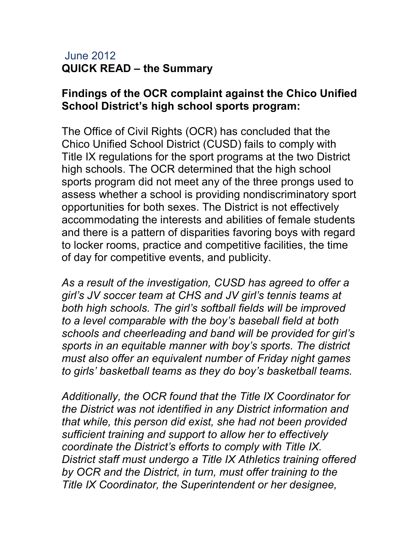## June 2012 QUICK READ – the Summary

## Findings of the OCR complaint against the Chico Unified School District's high school sports program:

The Office of Civil Rights (OCR) has concluded that the Chico Unified School District (CUSD) fails to comply with Title IX regulations for the sport programs at the two District high schools. The OCR determined that the high school sports program did not meet any of the three prongs used to assess whether a school is providing nondiscriminatory sport opportunities for both sexes. The District is not effectively accommodating the interests and abilities of female students and there is a pattern of disparities favoring boys with regard to locker rooms, practice and competitive facilities, the time of day for competitive events, and publicity.

As a result of the investigation, CUSD has agreed to offer a girl's JV soccer team at CHS and JV girl's tennis teams at both high schools. The girl's softball fields will be improved to a level comparable with the boy's baseball field at both schools and cheerleading and band will be provided for girl's sports in an equitable manner with boy's sports. The district must also offer an equivalent number of Friday night games to girls' basketball teams as they do boy's basketball teams.

Additionally, the OCR found that the Title IX Coordinator for the District was not identified in any District information and that while, this person did exist, she had not been provided sufficient training and support to allow her to effectively coordinate the District's efforts to comply with Title IX. District staff must undergo a Title IX Athletics training offered by OCR and the District, in turn, must offer training to the Title IX Coordinator, the Superintendent or her designee,